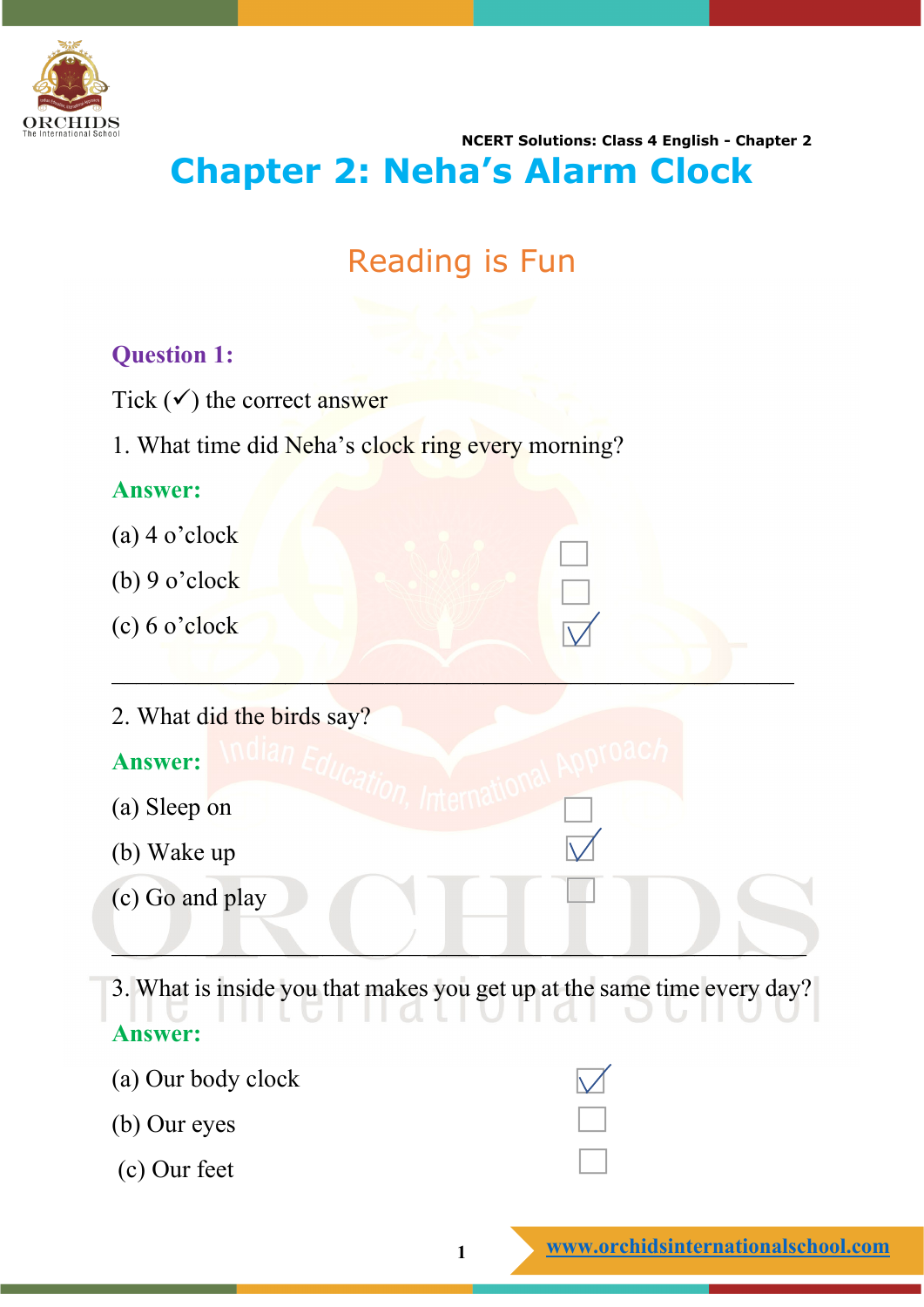

## **NCERT Solutions: Class 4 English - Chapter 2 Chapter 2: Neha's Alarm Clock**

# Reading is Fun

## **Question 1:**

Tick  $(\checkmark)$  the correct answer

1. What time did Neha's clock ring every morning?

## **Answer:**

- (a) 4 o'clock
- (b) 9 o'clock
- (c) 6 o'clock
- 2. What did the birds say?

## **Answer:**

- (a) Sleep on
- (b) Wake up
- (c) Go and play

3. What is inside you that makes you get up at the same time every day? **Answer:**

 $\cup$  .  $\cup$  .  $\cup$  .  $\cup$  .  $\cup$  .  $\cup$  .  $\cup$ 

 $\mathcal{L} = \{ \mathcal{L} \mid \mathcal{L} \neq \emptyset \}$  , where  $\mathcal{L} = \{ \mathcal{L} \mid \mathcal{L} \neq \emptyset \}$ 

- (a) Our body clock
- (b) Our eyes
- (c) Our feet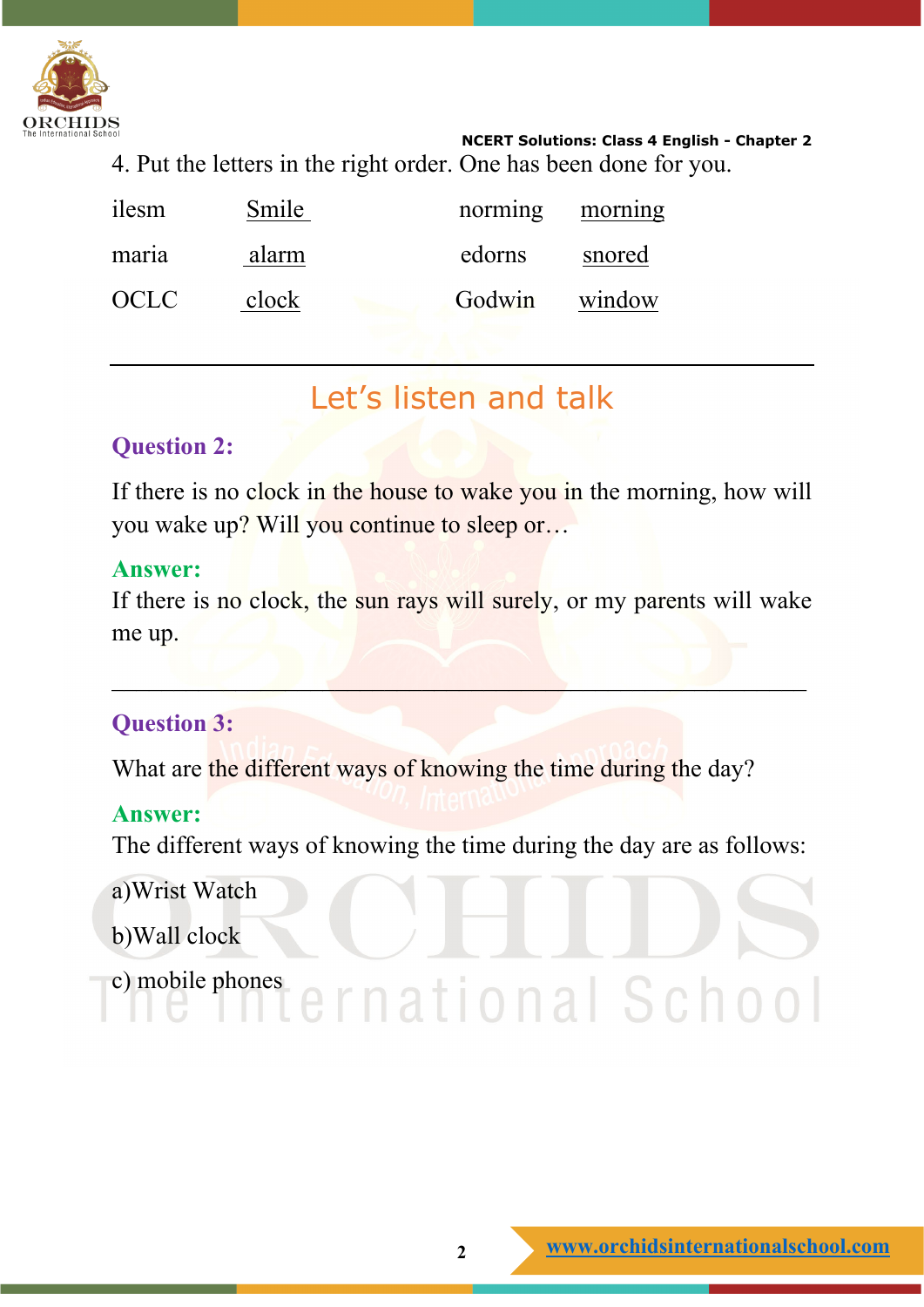

**NCERT Solutions: Class 4 English - Chapter 2** 4. Put the letters in the right order. One has been done for you.

| ilesm | Smile | norming morning |        |
|-------|-------|-----------------|--------|
| maria | alarm | edorns          | snored |
| OCLC. | clock | Godwin window   |        |

# Let's listen and talk

## **Question 2:**

If there is no clock in the house to wake you in the morning, how will you wake up? Will you continue to sleep or…

#### **Answer:**

If there is no clock, the sun rays will surely, or my parents will wake me up.

 $\mathcal{L} = \{ \mathbf{L} \mathbf{L} \mathbf{L} \mathbf{L} \mathbf{L} \mathbf{L} \mathbf{L} \mathbf{L} \mathbf{L} \mathbf{L} \mathbf{L} \mathbf{L} \mathbf{L} \mathbf{L} \mathbf{L} \mathbf{L} \mathbf{L} \mathbf{L} \mathbf{L} \mathbf{L} \mathbf{L} \mathbf{L} \mathbf{L} \mathbf{L} \mathbf{L} \mathbf{L} \mathbf{L} \mathbf{L} \mathbf{L} \mathbf{L} \mathbf{L} \mathbf{L} \mathbf{L} \mathbf{L} \mathbf{L} \$ 

## **Question 3:**

What are the different ways of knowing the time during the day?

## **Answer:**

The different ways of knowing the time during the day are as follows:

a)Wrist Watch

- b)Wall clock
- c) mobile phones ernational School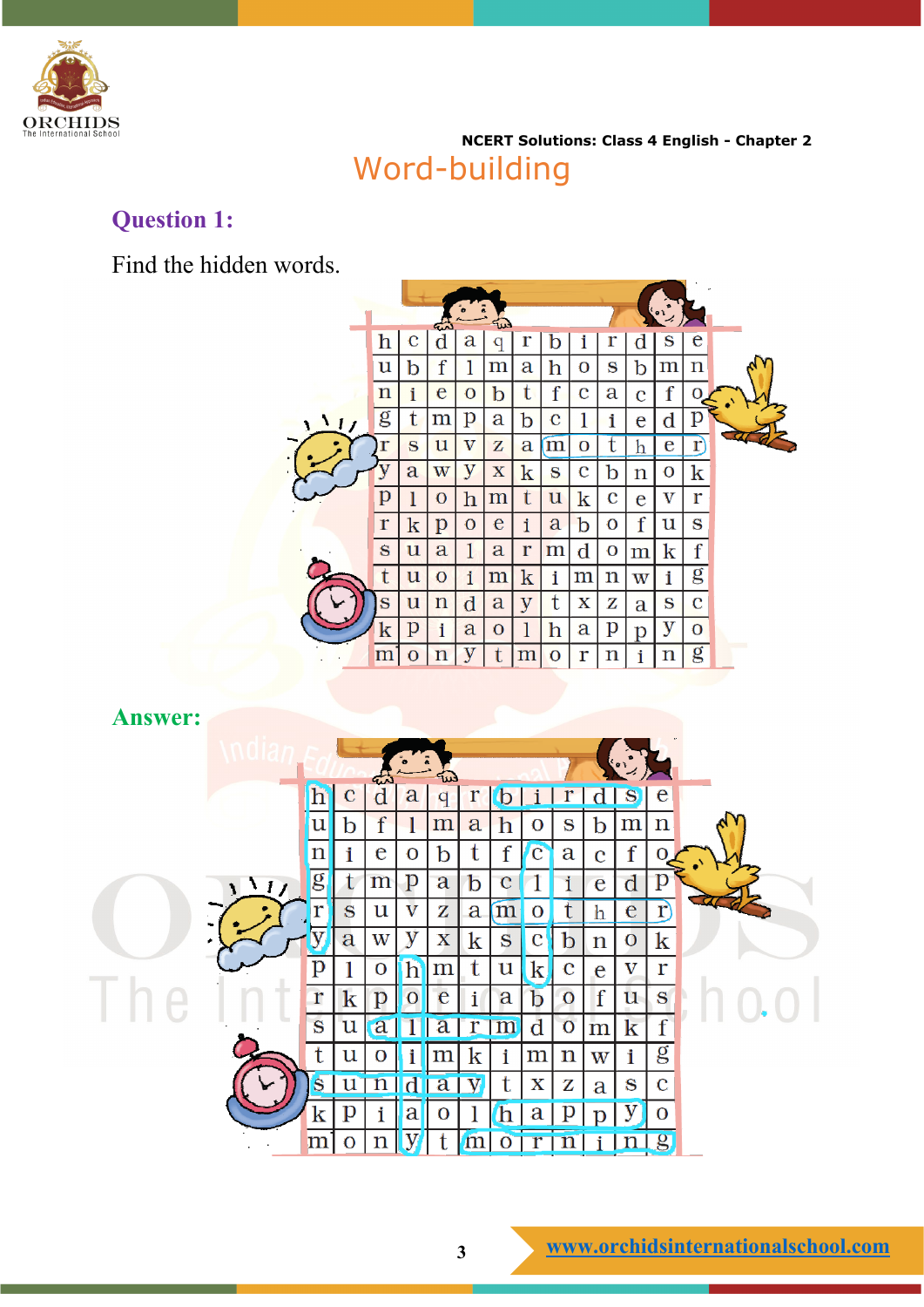

**NCERT Solutions: Class 4 English - Chapter 2** Word-building

## **Question 1:**

Find the hidden words.

|             |                       |                    | $\bullet$      |                       |                       |                       |             |             |                |                       |                |  |
|-------------|-----------------------|--------------------|----------------|-----------------------|-----------------------|-----------------------|-------------|-------------|----------------|-----------------------|----------------|--|
| h           | с                     | $\operatorname{d}$ | a              | q                     | r                     | b                     | i           | r           | d              | S                     | e              |  |
| u           | b                     | f                  | 1              | $\mathop{\mathrm{m}}$ | $\mathbf a$           | h                     | O           | S           | b              | $\mathop{\mathrm{m}}$ | $\mathbf n$    |  |
| $\mathbf n$ | i                     | e                  | $\mathbf O$    | b                     | t                     | f                     | $\mathbf c$ | $\mathbf a$ | $\overline{c}$ | $\mathbf f$           | O              |  |
| g           | t                     | m                  | p              | $\mathbf a$           | b                     | $\mathbf c$           | 1           | i           | e              | $\rm{d}$              | p              |  |
| r           | S                     | u                  | $\mathbf {V}$  | $\mathbf{z}$          | a                     | m                     | O           | t           | h              | e                     | r)             |  |
|             | a                     | W                  | $\overline{y}$ | $\mathbf X$           | $\mathbf k$           | S                     | $\bf c$     | b           | $\mathbf n$    | O                     | $\bf k$        |  |
| p           | 1                     | $\mathbf{O}$       | h              | m                     | t                     | $\mathbf u$           | $\mathbf k$ | $\mathbf c$ | e              | $\mathbf {V}$         | r              |  |
| $\Gamma$    | $\rm k$               | p                  | $\mathbf O$    | e                     | i                     | a                     | $\mathbf b$ | $\mathbf O$ | f              | u                     | S              |  |
| S           | $\mathbf u$           | a                  | 1              | $\mathbf a$           | $\Gamma$              | m                     | $\rm d$     | O           | $\mathbf m$    | k                     | f              |  |
| t           | $\mathbf u$           | O                  | i              | m                     | $\rm k$               | i                     | m           | $\mathbf n$ | $\bf W$        | i                     | g              |  |
| $\bf s$     | $\mathbf u$           | $\mathbf n$        | $\mathbf d$    | a                     | y                     | t                     | $\mathbf X$ | z           | a              | S                     | C              |  |
| k           | $\overline{\text{p}}$ | i                  | a              | $\mathbf O$           | $\mathbf{1}$          | $\overline{\text{h}}$ | a           | p           | p              | у                     | $\overline{O}$ |  |
| m           | O                     | n                  | y              | t                     | $\mathop{\mathrm{m}}$ | $\mathbf{O}$          | r           | n           | i              | n                     | g              |  |
|             |                       |                    | ست             |                       | ē<br>☜                |                       |             |             |                |                       |                |  |

**Answer:**

|             |                |              |             |               | ĩω          |   |                         |             |              |             |                         |                         |  |  |  |
|-------------|----------------|--------------|-------------|---------------|-------------|---|-------------------------|-------------|--------------|-------------|-------------------------|-------------------------|--|--|--|
|             |                | $\mathbf{C}$ | d           | a             | a           |   |                         |             |              |             |                         | e                       |  |  |  |
|             | 'u             | b            | f           | l             | $\mathbf m$ | a | h                       | O           | S            | b           | $\mathbf m$             | $\mathbf n$             |  |  |  |
|             | $\mathbf n$    | i            | e           | $\mathbf O$   | b           | t | f                       | $\mathbf C$ | a            | $\bf C$     | f                       |                         |  |  |  |
| $\sqrt{11}$ | $\overline{g}$ | t            | m           | p             | a           | b | $\overline{\mathbf{C}}$ |             |              | e           | $\rm d$                 | p                       |  |  |  |
|             |                | S            | $\mathbf u$ | $\mathbf {V}$ | z           | a | m                       | O           |              | h           | e                       | r                       |  |  |  |
|             |                | a            | $\bf W$     | y             | $\mathbf X$ | k | S                       | C           | b            | $\mathbf n$ | O                       | $\bf k$                 |  |  |  |
|             | $\mathbf p$    |              | $\mathbf O$ | $\mathbf{h}$  | ${\rm m}$   | t | $\mathbf u$             | $\mathbf k$ | C            | e           | $\overline{\mathbf{V}}$ | r                       |  |  |  |
|             | r              | $\bf k$      | p           | $\mathbf{O}$  | e           |   | a                       | D           | $\bf{O}$     | $\mathbf f$ | $\mathbf u$             | $\mathbf{S}$            |  |  |  |
|             | S              | $\mathbf u$  | a           |               | a           | r | $\mathbf{m}$            | d           | $\mathbf{O}$ | m           | k                       | f                       |  |  |  |
|             | t              | u            |             | i             |             | ĸ | i                       | ${\rm m}$   | $\mathbf n$  | W           | i                       | $\overline{\mathbf{g}}$ |  |  |  |
|             | S              |              |             |               | a           |   | t                       | $\mathbf X$ | Z            | a           | S                       | $\bf C$                 |  |  |  |
|             | k              | p            |             | a             | O           |   | n                       | a           |              |             |                         | $\mathbf{O}$            |  |  |  |
|             | m              | O            | n           |               |             |   |                         |             |              |             |                         | $\bf{g}$                |  |  |  |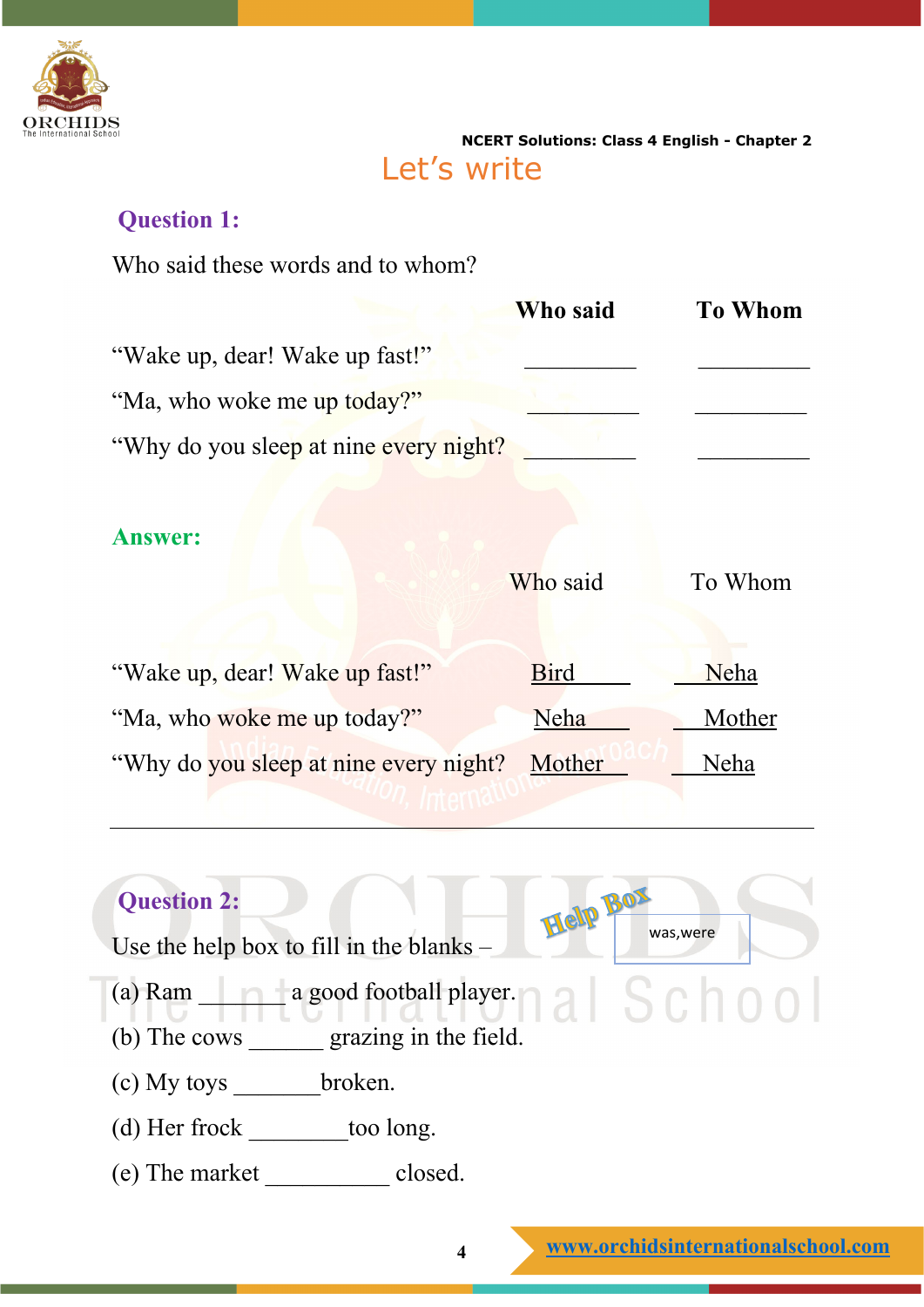

**NCERT Solutions: Class 4 English - Chapter 2** Let's write

Help Box <sub>was, were</sub>

## **Question 1:**

Who said these words and to whom?

|                                         | Who said | <b>To Whom</b> |
|-----------------------------------------|----------|----------------|
| "Wake up, dear! Wake up fast!"          |          |                |
| "Ma, who woke me up today?"             |          |                |
| "Why do you sleep at nine every night?" |          |                |

## **Answer:**

|                                        | Who said    | To Whom |
|----------------------------------------|-------------|---------|
| "Wake up, dear! Wake up fast!"         | <b>Bird</b> | Neha    |
| "Ma, who woke me up today?"            | Neha        | Mother  |
| "Why do you sleep at nine every night? | Mother      | Neha    |
|                                        |             |         |

## **Question 2:**

Use the help box to fill in the blanks –

- (a) Ram  $\frac{1}{2}$  a good football player.  $\frac{1}{2}$   $\frac{1}{2}$   $\frac{1}{2}$   $\frac{1}{2}$   $\frac{1}{2}$   $\frac{1}{2}$   $\frac{1}{2}$   $\frac{1}{2}$   $\frac{1}{2}$   $\frac{1}{2}$   $\frac{1}{2}$   $\frac{1}{2}$   $\frac{1}{2}$   $\frac{1}{2}$   $\frac{1}{2}$   $\frac{1}{2}$   $\frac{1}{2}$   $\frac{1}{2}$
- (b) The cows \_\_\_\_\_\_ grazing in the field.
- (c) My toys \_\_\_\_\_\_\_broken.
- (d) Her frock \_\_\_\_\_\_\_\_too long.
- (e) The market \_\_\_\_\_\_\_\_\_\_ closed.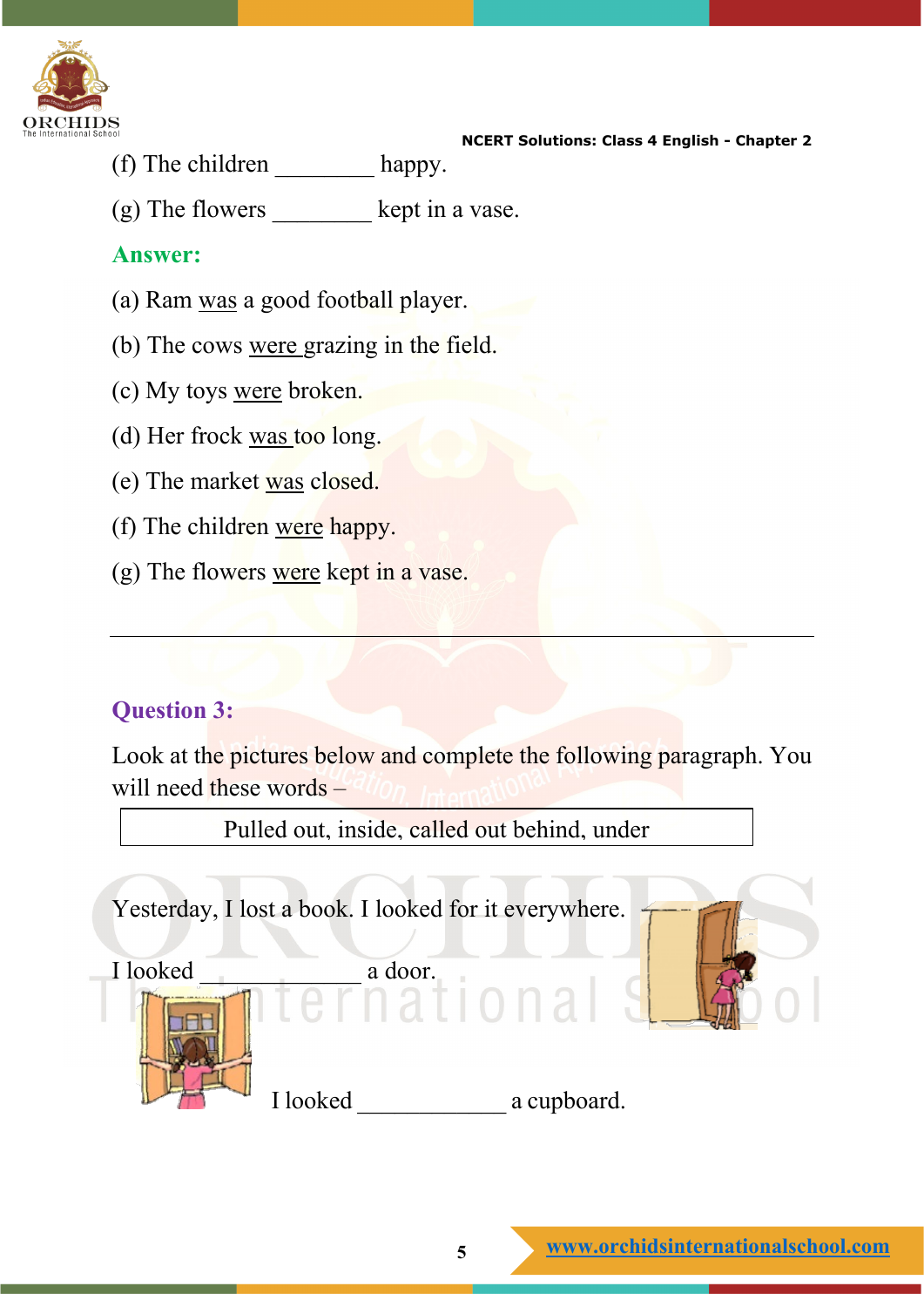

- **NCERT Solutions: Class 4 English - Chapter 2**
- (f) The children happy.
- (g) The flowers \_\_\_\_\_\_\_\_ kept in a vase.

#### **Answer:**

- (a) Ram was a good football player.
- (b) The cows were grazing in the field.
- (c) My toys were broken.
- (d) Her frock was too long.
- (e) The market was closed.
- (f) The children were happy.
- (g) The flowers were kept in a vase.

## **Question 3:**

Look at the pictures below and complete the following paragraph. You will need these words –

Yesterday, I lost a book. I looked for it everywhere. I looked a door. I looked \_\_\_\_\_\_\_\_\_\_\_\_ a cupboard. Pulled out, inside, called out behind, under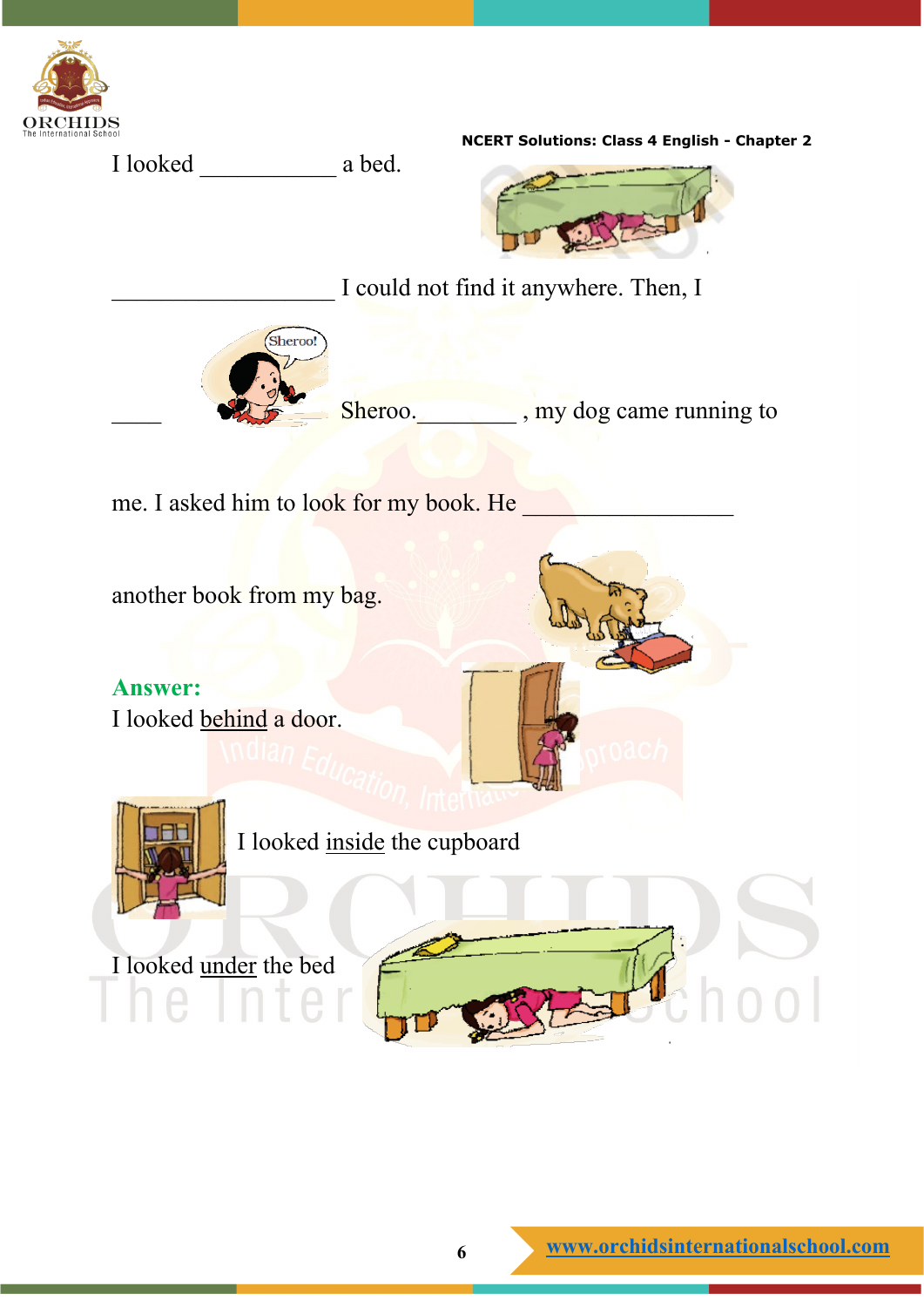

**NCERT Solutions: Class 4 English - Chapter 2** I looked a bed. I could not find it anywhere. Then, I Sheroo! Sheroo. \_\_\_\_\_\_\_\_\_\_, my dog came running to me. I asked him to look for my book. He another book from my bag. **Answer:** I looked behind a door. I looked inside the cupboard I looked under the bed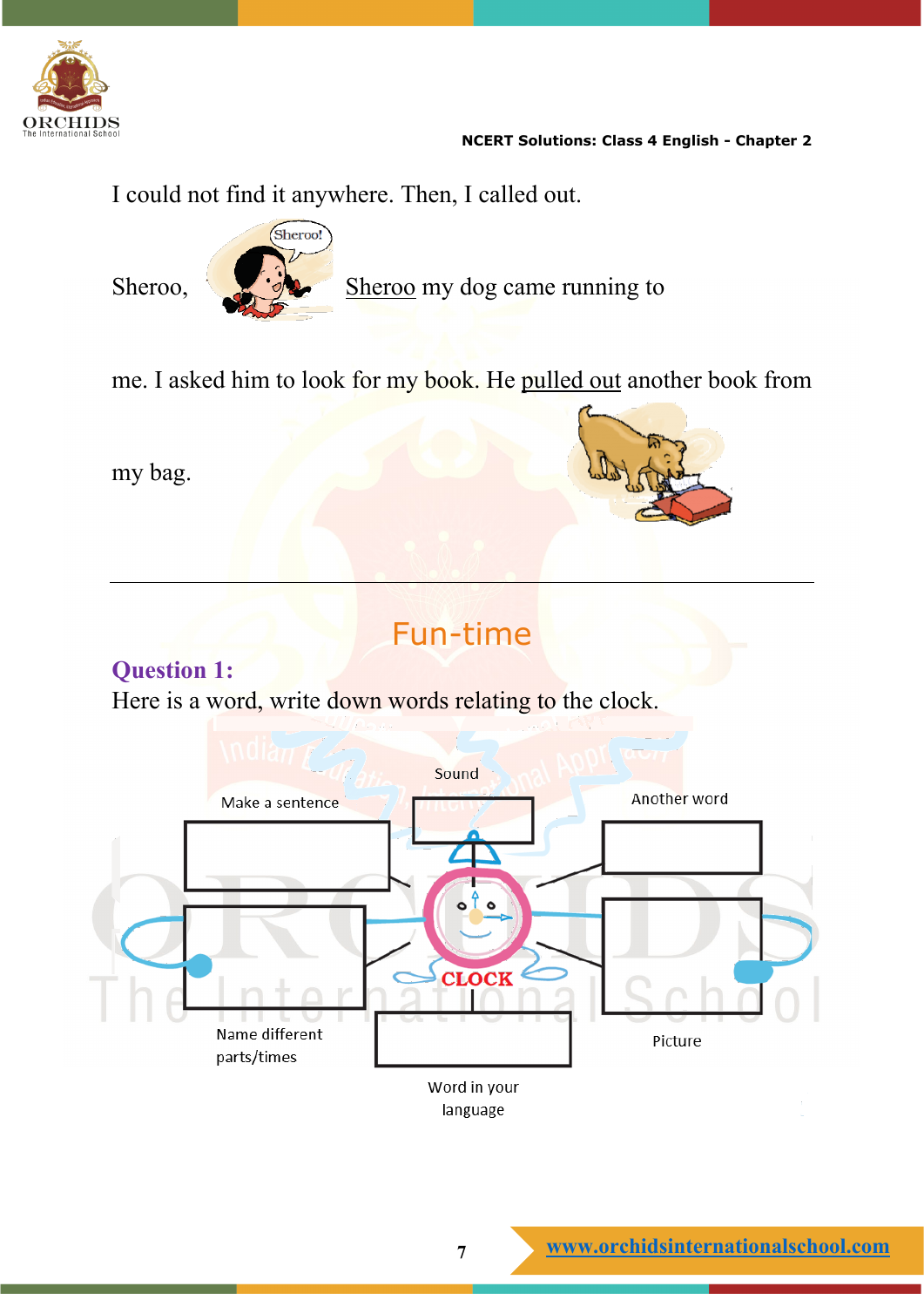

#### **NCERT Solutions: Class 4 English - Chapter 2**

I could not find it anywhere. Then, I called out.



Sheroo, Sheroo my dog came running to

me. I asked him to look for my book. He pulled out another book from

my bag.



# Fun-time

## **Question 1:**

Here is a word, write down words relating to the clock.